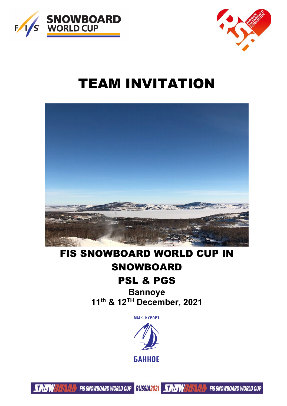



# TEAM INVITATION



# FIS SNOWBOARD WORLD CUP IN SNOWBOARD

## PSL & PGS

**Bannoye 11th & 12TH December, 2021**

MMK-KYPOPT



**A** FIS SNOWBOARD WORLD CUP RUSSIA2021 SAVE WEALTHER FIS SNOWBOARD WORLD CUP **SNAW**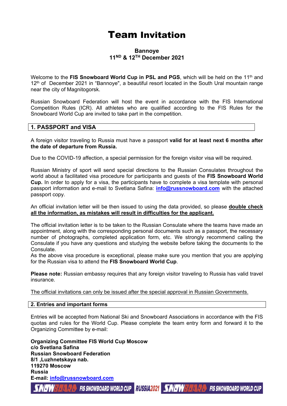### Team Invitation

#### **Bannoye 11ND & 12TH December 2021**

Welcome to the FIS Snowboard World Cup in PSL and PGS, which will be held on the 11<sup>th</sup> and 12<sup>th</sup> of December 2021 in "Bannoye", a beautiful resort located in the South Ural mountain range near the city of Magnitogorsk.

Russian Snowboard Federation will host the event in accordance with the FIS International Competition Rules (ICR). All athletes who are qualified according to the FIS Rules for the Snowboard World Cup are invited to take part in the competition.

#### **1. PASSPORT and VISA**

A foreign visitor traveling to Russia must have a passport **valid for at least next 6 months after the date of departure from Russia.**

Due to the COVID-19 affection, a special permission for the foreign visitor visa will be required.

Russian Ministry of sport will send special directions to the Russian Consulates throughout the world about a facilitated visa procedure for participants and guests of the **FIS Snowboard World Cup.** In order to apply for a visa, the participants have to complete a visa template with personal passport information and e-mail to Svetlana Safina: **[info@russnowboard.com](mailto:info@russnowboard.com)** with the attached passport copy.

An official invitation letter will be then issued to using the data provided, so please **double check all the information, as mistakes will result in difficulties for the applicant.** 

The official invitation letter is to be taken to the Russian Consulate where the teams have made an appointment, along with the corresponding personal documents such as a passport, the necessary number of photographs, completed application form, etc. We strongly recommend calling the Consulate if you have any questions and studying the website before taking the documents to the **Consulate** 

As the above visa procedure is exceptional, please make sure you mention that you are applying for the Russian visa to attend the **FIS Snowboard World Cup**.

**Please note:** Russian embassy requires that any foreign visitor traveling to Russia has valid travel insurance.

The official invitations can only be issued after the special approval in Russian Governments.

#### **2. Entries and important forms**

Entries will be accepted from National Ski and Snowboard Associations in accordance with the FIS quotas and rules for the World Cup. Please complete the team entry form and forward it to the Organizing Committee by e-mail:

**Organizing Committee FIS World Cup Moscow c/o Svetlana Safina Russian Snowboard Federation 8/1 ,Luzhnetskaya nab. 119270 Moscow Russia E-mail: [info@russnowboard.com](mailto:info@russnowboard.com)**

FIS SNOWBOARD WORLD CUP RUSSIA2021 SAVET WELL EXERCISE FIS SNOWBOARD WORLD CUP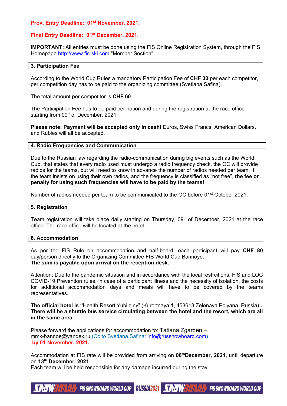#### **Prov. Entry Deadline: 01st November, 2021.**

#### **Final Entry Deadline: 01st December, 2021.**

**IMPORTANT:** All entries must be done using the FIS Online Registration System, through the FIS Homepage [http://www.fis-ski.com](http://www.fis-ski.com/) "Member Section".

#### **3. Participation Fee**

According to the World Cup Rules a mandatory Participation Fee of **CHF 30** per each competitor, per competition day has to be paid to the organizing committee (Svetlana Safina).

The total amount per competitor is **CHF 60**.

The Participation Fee has to be paid per nation and during the registration at the race office starting from 09<sup>th</sup> of December, 2021.

**Please note: Payment will be accepted only in cash!** Euros, Swiss Francs, American Dollars, and Rubles will all be accepted.

#### **4. Radio Frequencies and Communication**

Due to the Russian law regarding the radio-communication during big events such as the World Cup, that states that every radio used must undergo a radio frequency check, the OC will provide radios for the teams, but will need to know in advance the number of radios needed per team. If the team insists on using their own radios, and the frequency is classified as "not free", **the fee or penalty for using such frequencies will have to be paid by the teams!** 

Number of radios needed per team to be communicated to the OC before 01<sup>st</sup> October 2021.

#### **5. Registration**

Team registration will take place daily starting on Thursday, 09<sup>th</sup> of December, 2021 at the race office. The race office will be located at the hotel.

#### **6. Accommodation**

As per the FIS Rule on accommodation and half-board, each participant will pay **CHF 80** day/person directly to the Organizing Committee FIS World Cup Bannoye. **The sum is payable upon arrival on the reception desk.** 

Attention: Due to the pandemic situation and in accordance with the local restrcitions, FIS and LOC COVID-19 Prevention rules, in case of a participant illness and the necessity of isolation, the costs for additional accommodation days and meals will have to be covered by the teams representatives.

**The official hotel is "**Health Resort Yubileiny" (Kurortnaya 1, 453613 Zelenaya Polyana, Russia) **. There will be a shuttle bus service circulating between the hotel and the resort, which are all in the same area.**

Please forward the applications for accommodation to: Tatiana Zgarden – mmk-bannoe@yandex.ru (Cc to Svetlana Safina: [info@russnowboard.com\)](mailto:info@russnowboard.com) **by 01 November, 2021.**

Accommodation at FIS rate will be provided from arriving on **08thDecember, 2021**, until departure on **13th December, 2021**.

Each team will be held responsible for any damage incurred during the stay.

**FIS SNOWBOARD WORLD CUP** RUSSIA 2021  $\frac{1}{2} \frac{1}{2} \frac{1}{2} \frac{1}{4} \frac{1}{4} \frac{1}{4} \frac{1}{4} \frac{1}{4} \frac{1}{4} \frac{1}{4} \frac{1}{4} \frac{1}{4} \frac{1}{4} \frac{1}{4} \frac{1}{4} \frac{1}{4} \frac{1}{4} \frac{1}{4} \frac{1}{4} \frac{1}{4} \frac{1}{4} \frac{1}{4} \frac{1}{4} \frac{1}{4} \frac{1}{4} \frac{1}{4} \frac{1}{4} \frac{1}{4} \frac{1}{4} \frac{1}{4} \frac{1}{4} \frac{$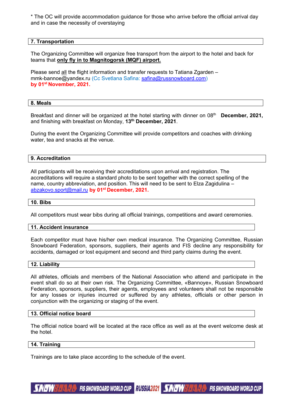\* The OC will provide accommodation guidance for those who arrive before the official arrival day and in case the necessity of overstaying

#### **7. Transportation**

The Organizing Committee will organize free transport from the airport to the hotel and back for teams that **only fly in to Magnitogorsk (MQF) airport.**

Please send all the flight information and transfer requests to Tatiana Zgarden – mmk-bannoe@yandex.ru (Cc Svetlana Safina: [safina@russnowboard.com\)](mailto:safina@russnowboard.com) **by 01st November, 2021.**

#### **8. Meals**

Breakfast and dinner will be organized at the hotel starting with dinner on 08<sup>th</sup> **December, 2021,** and finishing with breakfast on Monday, **13th December, 2021**.

During the event the Organizing Committee will provide competitors and coaches with drinking water, tea and snacks at the venue.

#### **9. Accreditation**

All participants will be receiving their accreditations upon arrival and registration. The accreditations will require a standard photo to be sent together with the correct spelling of the name, country abbreviation, and position. This will need to be sent to Elza Zagidulina – [abzakovo.sport@mail.ru](mailto:abzakovo.sport@mail.ru) **by 01st December, 2021.** 

#### **10. Bibs**

All competitors must wear bibs during all official trainings, competitions and award ceremonies.

#### **11. Accident insurance**

Each competitor must have his/her own medical insurance. The Organizing Committee, Russian Snowboard Federation, sponsors, suppliers, their agents and FIS decline any responsibility for accidents, damaged or lost equipment and second and third party claims during the event.

#### **12. Liability**

All athletes, officials and members of the National Association who attend and participate in the event shall do so at their own risk. The Organizing Committee, «Bannoye», Russian Snowboard Federation, sponsors, suppliers, their agents, employees and volunteers shall not be responsible for any losses or injuries incurred or suffered by any athletes, officials or other person in conjunction with the organizing or staging of the event.

#### **13. Official notice board**

The official notice board will be located at the race office as well as at the event welcome desk at the hotel.

#### **14. Training**

Trainings are to take place according to the schedule of the event.